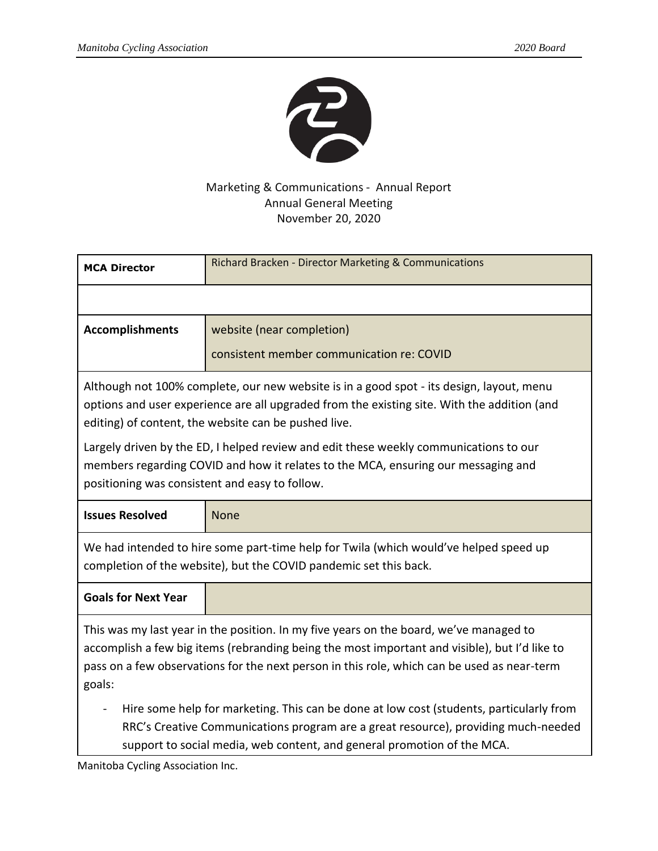

## Marketing & Communications - Annual Report Annual General Meeting November 20, 2020

| <b>MCA Director</b>                                                                                                                                                                                                                                                                              | Richard Bracken - Director Marketing & Communications |
|--------------------------------------------------------------------------------------------------------------------------------------------------------------------------------------------------------------------------------------------------------------------------------------------------|-------------------------------------------------------|
|                                                                                                                                                                                                                                                                                                  |                                                       |
| <b>Accomplishments</b>                                                                                                                                                                                                                                                                           | website (near completion)                             |
|                                                                                                                                                                                                                                                                                                  | consistent member communication re: COVID             |
| Although not 100% complete, our new website is in a good spot - its design, layout, menu<br>options and user experience are all upgraded from the existing site. With the addition (and<br>editing) of content, the website can be pushed live.                                                  |                                                       |
| Largely driven by the ED, I helped review and edit these weekly communications to our<br>members regarding COVID and how it relates to the MCA, ensuring our messaging and<br>positioning was consistent and easy to follow.                                                                     |                                                       |
| <b>Issues Resolved</b>                                                                                                                                                                                                                                                                           | <b>None</b>                                           |
| We had intended to hire some part-time help for Twila (which would've helped speed up<br>completion of the website), but the COVID pandemic set this back.                                                                                                                                       |                                                       |
| <b>Goals for Next Year</b>                                                                                                                                                                                                                                                                       |                                                       |
| This was my last year in the position. In my five years on the board, we've managed to<br>accomplish a few big items (rebranding being the most important and visible), but I'd like to<br>pass on a few observations for the next person in this role, which can be used as near-term<br>goals: |                                                       |
| Hire some help for marketing. This can be done at low cost (students, particularly from<br>RRC's Creative Communications program are a great resource), providing much-needed<br>support to social media, web content, and general promotion of the MCA.                                         |                                                       |

Manitoba Cycling Association Inc.